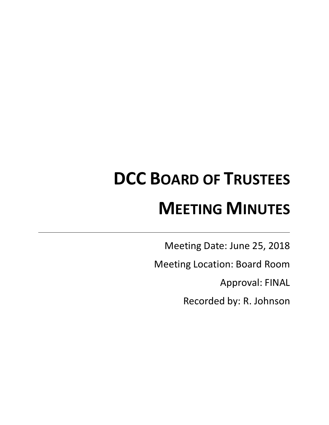# **DCC BOARD OF TRUSTEES MEETING MINUTES**

Meeting Date: June 25, 2018

Meeting Location: Board Room

Approval: FINAL

Recorded by: R. Johnson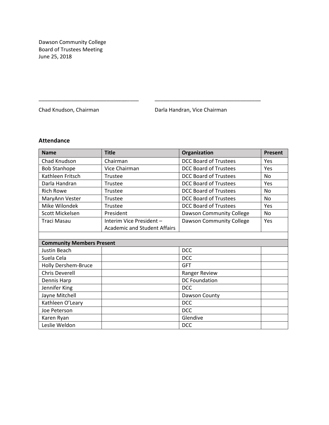Dawson Community College Board of Trustees Meeting June 25, 2018

Chad Knudson, Chairman **Darla Handran, Vice Chairman** 

# **Attendance**

| <b>Name</b>                      | <b>Title</b>                        | Organization                    | <b>Present</b> |
|----------------------------------|-------------------------------------|---------------------------------|----------------|
| Chad Knudson                     | Chairman                            | <b>DCC Board of Trustees</b>    | Yes            |
| <b>Bob Stanhope</b>              | Vice Chairman                       | <b>DCC Board of Trustees</b>    | Yes            |
| Kathleen Fritsch                 | Trustee                             | <b>DCC Board of Trustees</b>    | <b>No</b>      |
| Darla Handran                    | Trustee                             | <b>DCC Board of Trustees</b>    | Yes            |
| <b>Rich Rowe</b>                 | Trustee                             | <b>DCC Board of Trustees</b>    | <b>No</b>      |
| MaryAnn Vester                   | Trustee                             | <b>DCC Board of Trustees</b>    | <b>No</b>      |
| Mike Wilondek                    | Trustee                             | <b>DCC Board of Trustees</b>    | Yes            |
| Scott Mickelsen                  | President                           | Dawson Community College        | <b>No</b>      |
| Traci Masau                      | Interim Vice President -            | <b>Dawson Community College</b> | Yes            |
|                                  | <b>Academic and Student Affairs</b> |                                 |                |
|                                  |                                     |                                 |                |
| <b>Community Members Present</b> |                                     |                                 |                |
| <b>Justin Beach</b>              |                                     | <b>DCC</b>                      |                |
| Suela Cela                       |                                     | <b>DCC</b>                      |                |
| Holly Dershem-Bruce              |                                     | <b>GFT</b>                      |                |
| <b>Chris Deverell</b>            |                                     | Ranger Review                   |                |
| Dennis Harp                      |                                     | <b>DC Foundation</b>            |                |
| Jennifer King                    |                                     | <b>DCC</b>                      |                |
| Jayne Mitchell                   |                                     | Dawson County                   |                |
| Kathleen O'Leary                 |                                     | <b>DCC</b>                      |                |
| Joe Peterson                     |                                     | <b>DCC</b>                      |                |
| Karen Ryan                       |                                     | Glendive                        |                |
| Leslie Weldon                    |                                     | <b>DCC</b>                      |                |

\_\_\_\_\_\_\_\_\_\_\_\_\_\_\_\_\_\_\_\_\_\_\_\_\_\_\_\_\_\_\_\_\_\_ \_\_\_\_\_\_\_\_\_\_\_\_\_\_\_\_\_\_\_\_\_\_\_\_\_\_\_\_\_\_\_\_\_\_\_\_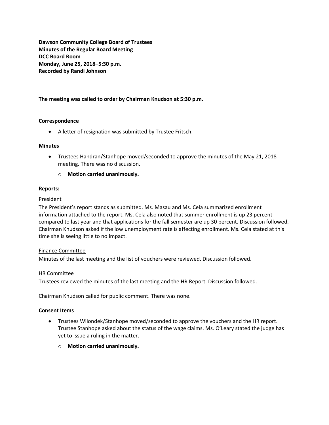**Dawson Community College Board of Trustees Minutes of the Regular Board Meeting DCC Board Room Monday, June 25, 2018–5:30 p.m. Recorded by Randi Johnson**

# **The meeting was called to order by Chairman Knudson at 5:30 p.m.**

# **Correspondence**

A letter of resignation was submitted by Trustee Fritsch.

#### **Minutes**

- Trustees Handran/Stanhope moved/seconded to approve the minutes of the May 21, 2018 meeting. There was no discussion.
	- o **Motion carried unanimously.**

#### **Reports:**

#### President

The President's report stands as submitted. Ms. Masau and Ms. Cela summarized enrollment information attached to the report. Ms. Cela also noted that summer enrollment is up 23 percent compared to last year and that applications for the fall semester are up 30 percent. Discussion followed. Chairman Knudson asked if the low unemployment rate is affecting enrollment. Ms. Cela stated at this time she is seeing little to no impact.

# Finance Committee

Minutes of the last meeting and the list of vouchers were reviewed. Discussion followed.

# HR Committee

Trustees reviewed the minutes of the last meeting and the HR Report. Discussion followed.

Chairman Knudson called for public comment. There was none.

#### **Consent Items**

- Trustees Wilondek/Stanhope moved/seconded to approve the vouchers and the HR report. Trustee Stanhope asked about the status of the wage claims. Ms. O'Leary stated the judge has yet to issue a ruling in the matter.
	- o **Motion carried unanimously.**